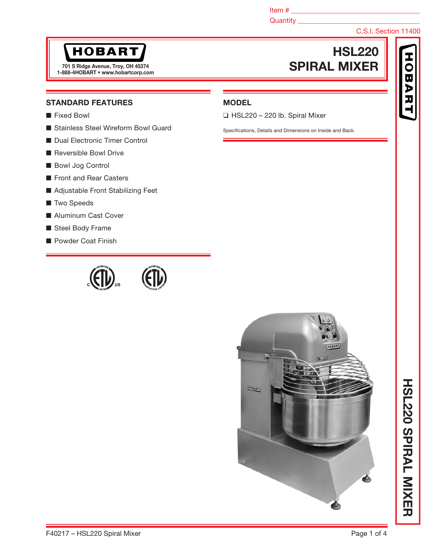Item # \_\_\_\_\_\_\_\_\_\_\_\_\_\_\_\_\_\_\_\_\_\_\_\_\_\_\_\_\_\_\_\_\_\_\_\_\_

### Quantity \_\_\_\_\_\_\_\_\_\_\_\_\_\_\_\_\_\_\_\_\_\_\_\_\_\_\_\_\_\_\_\_\_\_\_

# C.S.I. Section 11400

**OBA** 

# **HOBART**

1-888-4HOBART • www.hobartcorp.com

# HSL220 701 S Ridge Avenue, Troy, OH 45374<br>200 AUGRARY SURFAL MIXER

### STANDARD FEATURES

- Fixed Bowl
- Stainless Steel Wireform Bowl Guard
- Dual Electronic Timer Control
- Reversible Bowl Drive
- Bowl Jog Control
- Front and Rear Casters
- Adjustable Front Stabilizing Feet
- Two Speeds
- Aluminum Cast Cover
- Steel Body Frame
- Powder Coat Finish

# MODEL

❑ HSL220 – 220 lb. Spiral Mixer

Specifications, Details and Dimensions on Inside and Back.



**HOLSO SPIRAL MIXER** HSL220 SPIRAL MIXER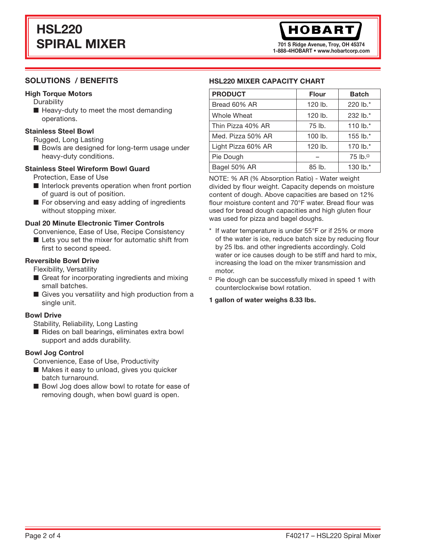# HSL220 SPIRAL MIXER

701 S Ridge Avenue, Troy, OH 45374 1-888-4HOBART • www.hobartcorp.com

## SOLUTIONS / BENEFITS

### High Torque Motors

- **Durability**
- Heavy-duty to meet the most demanding operations.

### Stainless Steel Bowl

Rugged, Long Lasting

■ Bowls are designed for long-term usage under heavy-duty conditions.

### Stainless Steel Wireform Bowl Guard

Protection, Ease of Use

- Interlock prevents operation when front portion of guard is out of position.
- For observing and easy adding of ingredients without stopping mixer.

### Dual 20 Minute Electronic Timer Controls

Convenience, Ease of Use, Recipe Consistency ■ Lets you set the mixer for automatic shift from

first to second speed.

### Reversible Bowl Drive

Flexibility, Versatility

- Great for incorporating ingredients and mixing small batches.
- Gives you versatility and high production from a single unit.

### Bowl Drive

Stability, Reliability, Long Lasting

■ Rides on ball bearings, eliminates extra bowl support and adds durability.

### Bowl Jog Control

Convenience, Ease of Use, Productivity

- Makes it easy to unload, gives you quicker batch turnaround.
- Bowl Jog does allow bowl to rotate for ease of removing dough, when bowl guard is open.

### HSL220 MIXER CAPACITY CHART

| <b>PRODUCT</b>     | <b>Flour</b> | <b>Batch</b>        |
|--------------------|--------------|---------------------|
| Bread 60% AR       | 120 lb.      | 220 lb.*            |
| Whole Wheat        | 120 lb.      | 232 lb.*            |
| Thin Pizza 40% AR  | 75 lb.       | 110 lb. $*$         |
| Med. Pizza 50% AR  | $100$ lb.    | 155 lb. $*$         |
| Light Pizza 60% AR | 120 lb.      | 170 lb.*            |
| Pie Dough          |              | 75 lb. <sup>0</sup> |
| Bagel 50% AR       | 85 lb.       | 130 lb.*            |

NOTE: % AR (% Absorption Ratio) - Water weight divided by flour weight. Capacity depends on moisture content of dough. Above capacities are based on 12% flour moisture content and 70°F water. Bread flour was used for bread dough capacities and high gluten flour was used for pizza and bagel doughs.

- \* If water temperature is under 55°F or if 25% or more of the water is ice, reduce batch size by reducing flour by 25 lbs. and other ingredients accordingly. Cold water or ice causes dough to be stiff and hard to mix, increasing the load on the mixer transmission and motor.
- $P$  Pie dough can be successfully mixed in speed 1 with counterclockwise bowl rotation.

### 1 gallon of water weighs 8.33 lbs.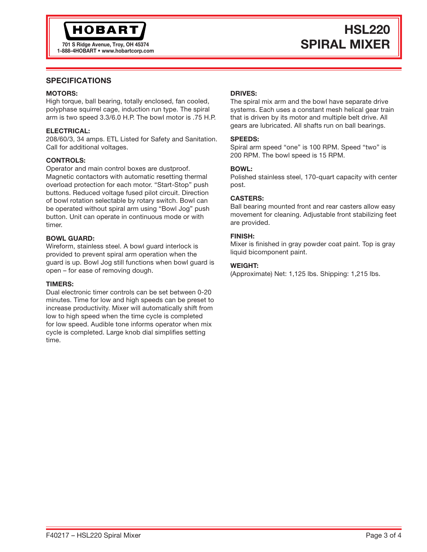# **HOBART**

1-888-4HOBART • www.hobartcorp.com

# HSL220 TO1 S Ridge Avenue, Troy, OH 45374 SPIRAL MIXER

### SPECIFICATIONS

### MOTORS:

High torque, ball bearing, totally enclosed, fan cooled, polyphase squirrel cage, induction run type. The spiral arm is two speed 3.3/6.0 H.P. The bowl motor is .75 H.P.

### ELECTRICAL:

208/60/3, 34 amps. ETL Listed for Safety and Sanitation. Call for additional voltages.

### CONTROLS:

Operator and main control boxes are dustproof. Magnetic contactors with automatic resetting thermal overload protection for each motor. "Start-Stop" push buttons. Reduced voltage fused pilot circuit. Direction of bowl rotation selectable by rotary switch. Bowl can be operated without spiral arm using "Bowl Jog" push button. Unit can operate in continuous mode or with timer.

### BOWL GUARD:

Wireform, stainless steel. A bowl guard interlock is provided to prevent spiral arm operation when the guard is up. Bowl Jog still functions when bowl guard is open – for ease of removing dough.

### TIMERS:

Dual electronic timer controls can be set between 0-20 minutes. Time for low and high speeds can be preset to increase productivity. Mixer will automatically shift from low to high speed when the time cycle is completed for low speed. Audible tone informs operator when mix cycle is completed. Large knob dial simplifies setting time.

### DRIVES:

The spiral mix arm and the bowl have separate drive systems. Each uses a constant mesh helical gear train that is driven by its motor and multiple belt drive. All gears are lubricated. All shafts run on ball bearings.

### SPEEDS:

Spiral arm speed "one" is 100 RPM. Speed "two" is 200 RPM. The bowl speed is 15 RPM.

### BOWL:

Polished stainless steel, 170-quart capacity with center post.

### CASTERS:

Ball bearing mounted front and rear casters allow easy movement for cleaning. Adjustable front stabilizing feet are provided.

### FINISH:

Mixer is finished in gray powder coat paint. Top is gray liquid bicomponent paint.

### WEIGHT:

(Approximate) Net: 1,125 lbs. Shipping: 1,215 lbs.